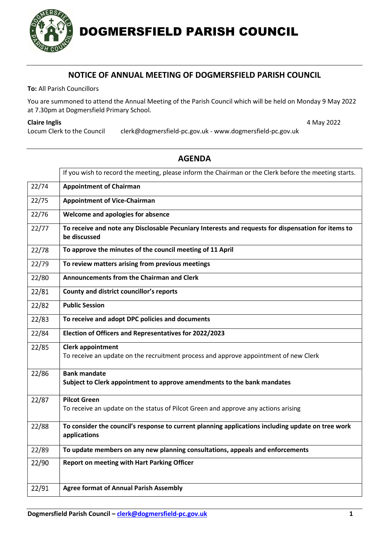

## NOTICE OF ANNUAL MEETING OF DOGMERSFIELD PARISH COUNCIL

To: All Parish Councillors

You are summoned to attend the Annual Meeting of the Parish Council which will be held on Monday 9 May 2022 at 7.30pm at Dogmersfield Primary School.

## Claire Inglis 4 May 2022

Locum Clerk to the Council clerk@dogmersfield-pc.gov.uk - www.dogmersfield-pc.gov.uk

|       | If you wish to record the meeting, please inform the Chairman or the Clerk before the meeting starts.              |
|-------|--------------------------------------------------------------------------------------------------------------------|
| 22/74 | <b>Appointment of Chairman</b>                                                                                     |
| 22/75 | <b>Appointment of Vice-Chairman</b>                                                                                |
| 22/76 | Welcome and apologies for absence                                                                                  |
| 22/77 | To receive and note any Disclosable Pecuniary Interests and requests for dispensation for items to<br>be discussed |
| 22/78 | To approve the minutes of the council meeting of 11 April                                                          |
| 22/79 | To review matters arising from previous meetings                                                                   |
| 22/80 | Announcements from the Chairman and Clerk                                                                          |
| 22/81 | County and district councillor's reports                                                                           |
| 22/82 | <b>Public Session</b>                                                                                              |
| 22/83 | To receive and adopt DPC policies and documents                                                                    |
| 22/84 | Election of Officers and Representatives for 2022/2023                                                             |
| 22/85 | <b>Clerk appointment</b><br>To receive an update on the recruitment process and approve appointment of new Clerk   |
| 22/86 | <b>Bank mandate</b><br>Subject to Clerk appointment to approve amendments to the bank mandates                     |
| 22/87 | <b>Pilcot Green</b><br>To receive an update on the status of Pilcot Green and approve any actions arising          |
| 22/88 | To consider the council's response to current planning applications including update on tree work<br>applications  |
| 22/89 | To update members on any new planning consultations, appeals and enforcements                                      |
| 22/90 | <b>Report on meeting with Hart Parking Officer</b>                                                                 |
| 22/91 | <b>Agree format of Annual Parish Assembly</b>                                                                      |

## AGENDA